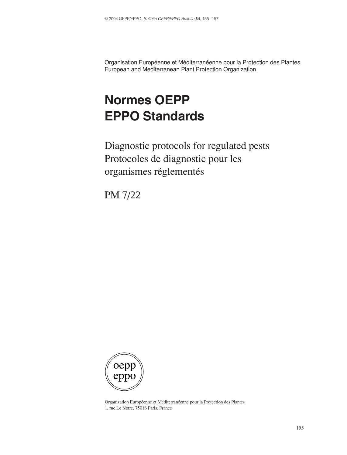Organisation Européenne et Méditerranéenne pour la Protection des Plantes European and Mediterranean Plant Protection Organization

# **Normes OEPP EPPO Standards**

Diagnostic protocols for regulated pests Protocoles de diagnostic pour les organismes réglementés

PM 7/22



Organization Européenne et Méditerranéenne pour la Protection des Plantes 1, rue Le Nôtre, 75016 Paris, France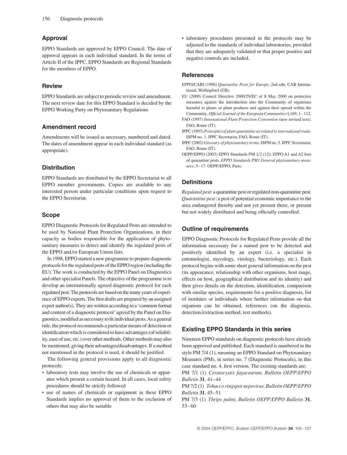# **Approval**

EPPO Standards are approved by EPPO Council. The date of approval appears in each individual standard. In the terms of Article II of the IPPC, EPPO Standards are Regional Standards for the members of EPPO.

### **Review**

EPPO Standards are subject to periodic review and amendment. The next review date for this EPPO Standard is decided by the EPPO Working Party on Phytosanitary Regulations

# **Amendment record**

Amendments will be issued as necessary, numbered and dated. The dates of amendment appear in each individual standard (as appropriate).

### **Distribution**

EPPO Standards are distributed by the EPPO Secretariat to all EPPO member governments. Copies are available to any interested person under particular conditions upon request to the EPPO Secretariat.

# **Scope**

EPPO Diagnostic Protocols for Regulated Pests are intended to be used by National Plant Protection Organizations, in their capacity as bodies responsible for the application of phytosanitary measures to detect and identify the regulated pests of the EPPO and/or European Union lists.

In 1998, EPPO started a new programme to prepare diagnostic protocols for the regulated pests of the EPPO region (including the EU). The work is conducted by the EPPO Panel on Diagnostics and other specialist Panels. The objective of the programme is to develop an internationally agreed diagnostic protocol for each regulated pest. The protocols are based on the many years of experience of EPPO experts. The first drafts are prepared by an assigned expert author(s). They are written according to a 'common format and content of a diagnostic protocol' agreed by the Panel on Diagnostics, modified as necessary to fit individual pests. As a general rule, the protocol recommends a particular means of detection or identification which is considered to have advantages (of reliability, ease of use, etc.) over other methods. Other methods may also be mentioned, giving their advantages/disadvantages. If a method not mentioned in the protocol is used, it should be justified.

The following general provisions apply to all diagnostic protocols:

- laboratory tests may involve the use of chemicals or apparatus which present a certain hazard. In all cases, local safety procedures should be strictly followed
- use of names of chemicals or equipment in these EPPO Standards implies no approval of them to the exclusion of others that may also be suitable

• laboratory procedures presented in the protocols may be adjusted to the standards of individual laboratories, provided that they are adequately validated or that proper positive and negative controls are included.

#### **References**

- EPPO/CABI (1996) *Quarantine Pests for Europe*, 2nd edn. CAB International, Wallingford (GB).
- EU (2000) Council Directive 2000/29/EC of 8 May 2000 on protective measures against the introduction into the Community of organisms harmful to plants or plant products and against their spread within the Community. *Official Journal of the European Communities* L169, 1–112.
- FAO (1997) *International Plant Protection Convention* (new revised text). FAO, Rome (IT).
- IPPC (1993) *Principles of plant quarantine as related to international trade*. ISPM no. 1. IPPC Secretariat, FAO, Rome (IT).
- IPPC (2002) *Glossary of phytosanitary terms*. ISPM no. 5. IPPC Secretariat, FAO, Rome (IT).
- OEPP/EPPO (2003) EPPO Standards PM 1/2 (12): EPPO A1 and A2 lists of quarantine pests. *EPPO Standards PM1 General phytosanitary measures*, 5–17. OEPP/EPPO, Paris.

# **Definitions**

*Regulated pest*: a quarantine pest or regulated non-quarantine pest. *Quarantine pest*: a pest of potential economic importance to the area endangered thereby and not yet present there, or present but not widely distributed and being officially controlled.

## **Outline of requirements**

EPPO Diagnostic Protocols for Regulated Pests provide all the information necessary for a named pest to be detected and positively identified by an expert (i.e. a specialist in entomologist, mycology, virology, bacteriology, etc.). Each protocol begins with some short general information on the pest (its appearance, relationship with other organisms, host range, effects on host, geographical distribution and its identity) and then gives details on the detection, identification, comparison with similar species, requirements for a positive diagnosis, list of institutes or individuals where further information on that organism can be obtained, references (on the diagnosis, detection/extraction method, test methods).

# **Existing EPPO Standards in this series**

Nineteen EPPO standards on diagnostic protocols have already been approved and published. Each standard is numbered in the style PM 7/4 (1), meaning an EPPO Standard on Phytosanitary Measures (PM), in series no. 7 (Diagnostic Protocols), in this case standard no. 4, first version. The existing standards are:

PM 7/1 (1) *Ceratocystis fagacearum*. *Bulletin OEPP/EPPO Bulletin* **31**, 41–44

PM 7/2 (1) *Tobacco ringspot nepovirus*. *Bulletin OEPP/EPPO Bulletin* **31**, 45–51

PM 7/3 (1) *Thrips palmi*. *Bulletin OEPP/EPPO Bulletin* **31**, 53–60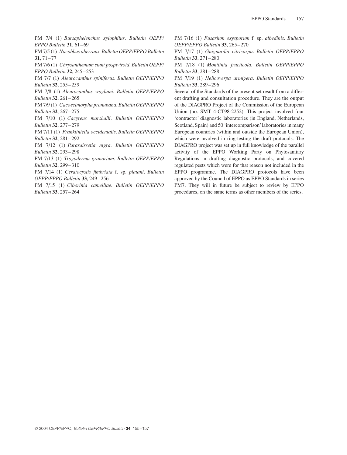PM 7/4 (1) *Bursaphelenchus xylophilus*. *Bulletin OEPP/ EPPO Bulletin* **31**, 61–69

PM 7/5 (1) *Nacobbus aberrans*. *Bulletin OEPP/EPPO Bulletin* **31**, 71–77

PM 7/6 (1) *Chrysanthemum stunt pospiviroid*. *Bulletin OEPP/ EPPO Bulletin* **32**, 245–253

PM 7/7 (1) *Aleurocanthus spiniferus*. *Bulletin OEPP/EPPO Bulletin* **32**, 255–259

PM 7/8 (1) *Aleurocanthus woglumi*. *Bulletin OEPP/EPPO Bulletin* **32**, 261–265

PM 7/9 (1) *Cacoecimorpha pronubana*. *Bulletin OEPP/EPPO Bulletin* **32**, 267–275

PM 7/10 (1) *Cacyreus marshalli*. *Bulletin OEPP/EPPO Bulletin* **32**, 277–279

PM 7/11 (1) *Frankliniella occidentalis*. *Bulletin OEPP/EPPO Bulletin* **32**, 281–292

PM 7/12 (1) *Parasaissetia nigra*. *Bulletin OEPP/EPPO Bulletin* **32**, 293–298

PM 7/13 (1) *Trogoderma granarium*. *Bulletin OEPP/EPPO Bulletin* **32**, 299–310

PM 7/14 (1) *Ceratocystis fimbriata* f. sp. *platani*. *Bulletin OEPP/EPPO Bulletin* **33**, 249–256

PM 7/15 (1) *Ciborinia camelliae*. *Bulletin OEPP/EPPO Bulletin* **33**, 257–264

PM 7/16 (1) *Fusarium oxysporum* f. sp. *albedinis*. *Bulletin OEPP/EPPO Bulletin* **33**, 265–270

PM 7/17 (1) *Guignardia citricarpa*. *Bulletin OEPP/EPPO Bulletin* **33**, 271–280

PM 7/18 (1) *Monilinia fructicola*. *Bulletin OEPP/EPPO Bulletin* **33**, 281–288

PM 7/19 (1) *Helicoverpa armigera*. *Bulletin OEPP/EPPO Bulletin* **33**, 289–296

Several of the Standards of the present set result from a different drafting and consultation procedure. They are the output of the DIAGPRO Project of the Commission of the European Union (no. SMT 4-CT98-2252). This project involved four 'contractor' diagnostic laboratories (in England, Netherlands, Scotland, Spain) and 50 'intercomparison' laboratories in many European countries (within and outside the European Union), which were involved in ring-testing the draft protocols. The DIAGPRO project was set up in full knowledge of the parallel activity of the EPPO Working Party on Phytosanitary Regulations in drafting diagnostic protocols, and covered regulated pests which were for that reason not included in the EPPO programme. The DIAGPRO protocols have been approved by the Council of EPPO as EPPO Standards in series PM7. They will in future be subject to review by EPPO procedures, on the same terms as other members of the series.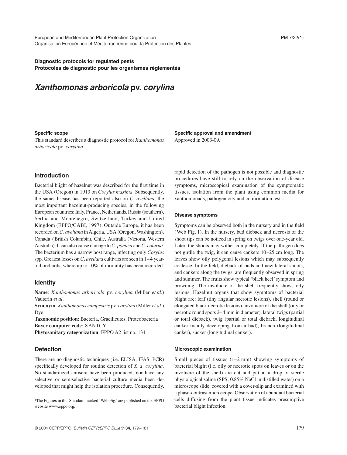**Diagnostic protocols for regulated pests**<sup>1</sup> **Protocoles de diagnostic pour les organismes réglementés**

# *Xanthomonas arboricola* **pv.** *corylina*

#### **Specific scope**

This standard describes a diagnostic protocol for *Xanthomonas arboricola* pv*. corylina*

# **Specific approval and amendment**

Approved in 2003-09.

# **Introduction**

Bacterial blight of hazelnut was described for the first time in the USA (Oregon) in 1913 on *Corylus maxima.* Subsequently, the same disease has been reported also on *C. avellana*, the most important hazelnut-producing species, in the following European countries: Italy, France, Netherlands, Russia (southern), Serbia and Montenegro, Switzerland, Turkey and United Kingdom (EPPO/CABI, 1997). Outside Europe, it has been recorded on *C. avellana* in Algeria, USA (Oregon, Washington), Canada (British Columbia), Chile, Australia (Victoria, Western Australia). It can also cause damage to *C. pontica* and *C. colurna.* The bacterium has a narrow host range, infecting only *Corylus* spp. Greatest losses on *C*. *avellana* cultivars are seen in 1–4 yearold orchards, where up to 10% of mortality has been recorded.

#### **Identity**

**Name**: *Xanthomonas arboricola* pv. *corylina* (Miller *et al.*) Vauterin *et al.*

**Synonym**: *Xanthomonas campestris* pv. *corylina* (Miller *et al.*) Dye

**Taxonomic position**: Bacteria, Gracilicutes, Proteobacteria **Bayer computer code**: XANTCY

**Phytosanitary categorization**: EPPO A2 list no. 134

### **Detection**

There are no diagnostic techniques (i.e. ELISA, IFAS, PCR) specifically developed for routine detection of *X. a. corylina.* No standardized antisera have been produced, nor have any selective or semiselective bacterial culture media been developed that might help the isolation procedure. Consequently, rapid detection of the pathogen is not possible and diagnostic procedures have still to rely on the observation of disease symptoms, microscopical examination of the symptomatic tissues, isolation from the plant using common media for xanthomonads, pathogenicity and confirmation tests.

#### **Disease symptoms**

Symptoms can be observed both in the nursery and in the field (Web Fig. 1). In the nursery, bud dieback and necrosis of the shoot tips can be noticed in spring on twigs over one-year old. Later, the shoots may wither completely. If the pathogen does not girdle the twig, it can cause cankers 10–25 cm long. The leaves show oily polygonal lesions which may subsequently coalesce. In the field, dieback of buds and new lateral shoots, and cankers along the twigs, are frequently observed in spring and summer. The fruits show typical 'black heel' symptom and browning. The involucre of the shell frequently shows oily lesions. Hazelnut organs that show symptoms of bacterial blight are: leaf (tiny angular necrotic lesions), shell (round or elongated black necrotic lesions), involucre of the shell (oily or necrotic round spots 2–4 mm in diameter), lateral twigs (partial or total dieback), twig (partial or total dieback, longitudinal canker mainly developing from a bud), branch (longitudinal canker), sucker (longitudinal canker).

#### **Microscopic examination**

Small pieces of tissues (1–2 mm) showing symptoms of bacterial blight (i.e. oily or necrotic spots on leaves or on the involucre of the shell) are cut and put in a drop of sterile physiological saline (SPS; 0.85% NaCl in distilled water) on a microscope slide, covered with a cover-slip and examined with a phase-contrast microscope. Observation of abundant bacterial cells diffusing from the plant tissue indicates presumptive bacterial blight infection.

<sup>1</sup>The Figures in this Standard marked 'Web Fig.' are published on the EPPO website www.eppo.org.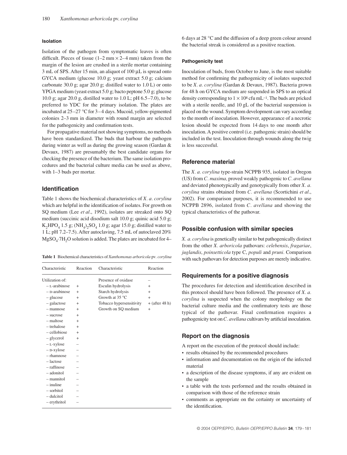#### **Isolation**

Isolation of the pathogen from symptomatic leaves is often difficult. Pieces of tissue  $(1-2 \text{ mm} \times 2-4 \text{ mm})$  taken from the margin of the lesion are crushed in a sterile mortar containing 3 mL of SPS. After 15 min, an aliquot of 100 µL is spread onto GYCA medium (glucose 10.0 g; yeast extract 5.0 g; calcium carbonate 30.0 g; agar 20.0 g; distilled water to 1.0 L) or onto YPGA medium (yeast extract 5.0 g; bacto peptone 5.0 g; glucose 10.0 g; agar 20.0 g, distilled water to 1.0 L; pH 6.5–7.0), to be preferred to YDC for the primary isolation. The plates are incubated at 25–27 °C for 3–4 days. Mucoid, yellow-pigmented colonies 2–3 mm in diameter with round margin are selected for the pathogenicity and confirmation tests.

For propagative material not showing symptoms, no methods have been standardized. The buds that harbour the pathogen during winter as well as during the growing season (Gardan & Devaux, 1987) are presumably the best candidate organs for checking the presence of the bacterium. The same isolation procedures and the bacterial culture media can be used as above, with 1–3 buds per mortar.

### **Identification**

Table 1 shows the biochemical characteristics of *X. a. corylina* which are helpful in the identification of isolates. For growth on SQ medium (Lee *et al*., 1992), isolates are streaked onto SQ medium (succinic acid disodium salt 10.0 g; quinic acid 5.0 g; K<sub>2</sub>HPO<sub>4</sub> 1.5 g; (NH<sub>4</sub>)<sub>2</sub>SO<sub>4</sub> 1.0 g; agar 15.0 g; distilled water to 1 L; pH 7.2–7.5). After autoclaving, 7.5 mL of autoclaved 20%  $MgSO<sub>4</sub>·7H<sub>2</sub>O$  solution is added. The plates are incubated for 4–

**Table 1** Biochemical characteristics of *Xanthomonas arboricola* pv*. corylina*

| Characteristic  | Reaction  | Characteristic           | Reaction         |
|-----------------|-----------|--------------------------|------------------|
| Utilization of: |           | Presence of oxidase      |                  |
| $-$ L-arabinose | $^{+}$    | Esculin hydrolysis       | $^{+}$           |
| - D-arabinose   | $+$       | Starch hydrolysis        | $^{+}$           |
| $-$ glucose     | $^{+}$    | Growth at $35^{\circ}$ C | $^{+}$           |
| - galactose     | $+$       | Tobacco hypersensitivity | $+$ (after 48 h) |
| - mannose       | $^{+}$    | Growth on SQ medium      | $^{+}$           |
| - sucrose       | $^{+}$    |                          |                  |
| - maltose       | $\ddot{}$ |                          |                  |
| $-$ trehalose   | $+$       |                          |                  |
| - cellobiose    | $\div$    |                          |                  |
| - glycerol      | $\ddot{}$ |                          |                  |
| $-L$ -xylose    |           |                          |                  |
| - D-xylose      |           |                          |                  |
| $-$ rhamnose    |           |                          |                  |
| $-$ lactose     |           |                          |                  |
| $-$ raffinose   |           |                          |                  |
| - adonitol      |           |                          |                  |
| - mannitol      |           |                          |                  |
| $-$ inuline     |           |                          |                  |
| - sorbitol      |           |                          |                  |
| $-$ dulcitol    |           |                          |                  |
| - erythritol    |           |                          |                  |

6 days at 28 °C and the diffusion of a deep green colour around the bacterial streak is considered as a positive reaction.

#### **Pathogenicity test**

Inoculation of buds, from October to June, is the most suitable method for confirming the pathogenicity of isolates suspected to be *X. a. corylina* (Gardan & Devaux, 1987). Bacteria grown for 48 h on GYCA medium are suspended in SPS to an optical density corresponding to  $1 \times 10^8$  cfu mL<sup>-1</sup>. The buds are pricked with a sterile needle, and 10 gL of the bacterial suspension is placed on the wound. Symptom development can vary according to the month of inoculation. However, appearance of a necrotic lesion should be expected from 14 days to one month after inoculation. A positive control (i.e. pathogenic strain) should be included in the test. Inoculation through wounds along the twig is less successful.

### **Reference material**

The *X. a. corylina* type-strain NCPPB 935, isolated in Oregon (US) from *C. maxima,* proved weakly pathogenic to *C. avellana* and deviated phenotypically and genotypically from other *X. a. corylina* strains obtained from *C. avellana* (Scortichini *et al*., 2002). For comparison purposes, it is recommended to use NCPPB 2896, isolated from *C. avellana* and showing the typical characteristics of the pathovar.

#### **Possible confusion with similar species**

*X. a. corylina* is genetically similar to but pathogenically distinct from the other *X. arboricola* pathovars: *celebensis*, *fragariae*, *juglandis*, *poinsetticola* type C, *populi* and *pruni.* Comparison with such pathovars for detection purposes are merely indicative.

#### **Requirements for a positive diagnosis**

The procedures for detection and identification described in this protocol should have been followed. The presence of *X. a. corylina* is suspected when the colony morphology on the bacterial culture media and the confirmatory tests are those typical of the pathovar. Final confirmation requires a pathogenicity test on *C. avellana* cultivars by artificial inoculation.

#### **Report on the diagnosis**

A report on the execution of the protocol should include:

- **•** results obtained by the recommended procedures
- **•** information and documentation on the origin of the infected material
- **•** a description of the disease symptoms, if any are evident on the sample
- **•** a table with the tests performed and the results obtained in comparison with those of the reference strain
- **•** comments as appropriate on the certainty or uncertainty of the identification.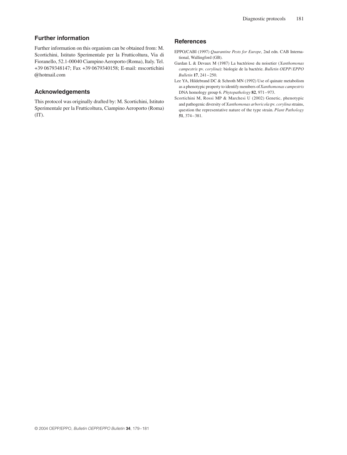# **Further information**

Further information on this organism can be obtained from: M. Scortichini, Istituto Sperimentale per la Frutticoltura, Via di Fioranello, 52.1-00040 Ciampino Aeroporto (Roma), Italy. Tel. +39 0679348147; Fax +39 0679340158; E-mail: mscortichini @hotmail.com

#### **Acknowledgements**

This protocol was originally drafted by: M. Scortichini, Istituto Sperimentale per la Frutticoltura, Ciampino Aeroporto (Roma)  $(TT)$ .

#### **References**

- EPPO/CABI (1997) *Quarantine Pests for Europe*, 2nd edn. CAB International, Wallingford (GB).
- Gardan L & Devaux M (1987) La bactériose du noisetier (*Xanthomonas campestris* pv. *corylina*): biologie de la bactérie. *Bulletin OEPP/EPPO Bulletin* **17**, 241–250.
- Lee YA, Hildebrand DC & Schroth MN (1992) Use of quinate metabolism as a phenotypic property to identify members of *Xanthomonas campestris* DNA homology group 6. *Phytopathology* **82**, 971–973.
- Scortichini M, Rossi MP & Marchesi U (2002) Genetic, phenotypic and pathogenic diversity of *Xanthomonas arboricola* pv. *corylina* strains, question the representative nature of the type strain. *Plant Pathology* **51**, 374–381.